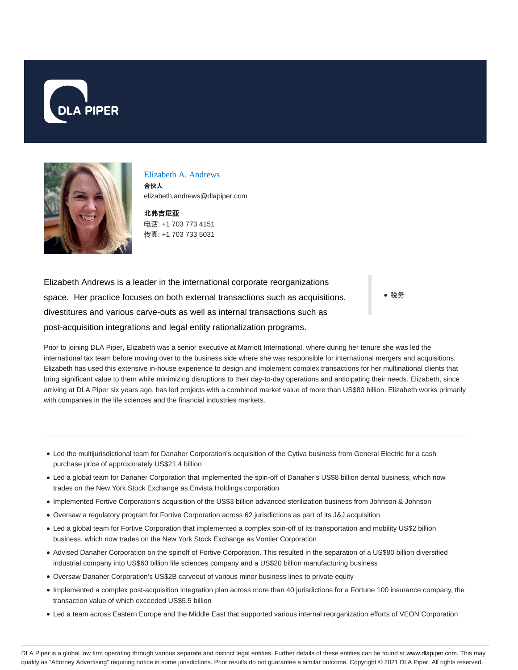



#### Elizabeth A. Andrews

合伙人 elizabeth.andrews@dlapiper.com

北弗吉尼**亚** 电话: +1 703 773 4151 传真: +1 703 733 5031

Elizabeth Andrews is a leader in the international corporate reorganizations space. Her practice focuses on both external transactions such as acquisitions, divestitures and various carve-outs as well as internal transactions such as post-acquisition integrations and legal entity rationalization programs.

• 税务

Prior to joining DLA Piper, Elizabeth was a senior executive at Marriott International, where during her tenure she was led the international tax team before moving over to the business side where she was responsible for international mergers and acquisitions. Elizabeth has used this extensive in-house experience to design and implement complex transactions for her multinational clients that bring significant value to them while minimizing disruptions to their day-to-day operations and anticipating their needs. Elizabeth, since arriving at DLA Piper six years ago, has led projects with a combined market value of more than US\$80 billion. Elizabeth works primarily with companies in the life sciences and the financial industries markets.

- Led the multijurisdictional team for Danaher Corporation's acquisition of the Cytiva business from General Electric for a cash purchase price of approximately US\$21.4 billion
- Led a global team for Danaher Corporation that implemented the spin-off of Danaher's US\$8 billion dental business, which now trades on the New York Stock Exchange as Envista Holdings corporation
- Implemented Fortive Corporation's acquisition of the US\$3 billion advanced sterilization business from Johnson & Johnson
- Oversaw a regulatory program for Fortive Corporation across 62 jurisdictions as part of its J&J acquisition
- Led a global team for Fortive Corporation that implemented a complex spin-off of its transportation and mobility US\$2 billion business, which now trades on the New York Stock Exchange as Vontier Corporation
- Advised Danaher Corporation on the spinoff of Fortive Corporation. This resulted in the separation of a US\$80 billion diversified industrial company into US\$60 billion life sciences company and a US\$20 billion manufacturing business
- Oversaw Danaher Corporation's US\$2B carveout of various minor business lines to private equity
- Implemented a complex post-acquisition integration plan across more than 40 jurisdictions for a Fortune 100 insurance company, the transaction value of which exceeded US\$5.5 billion
- Led a team across Eastern Europe and the Middle East that supported various internal reorganization efforts of VEON Corporation